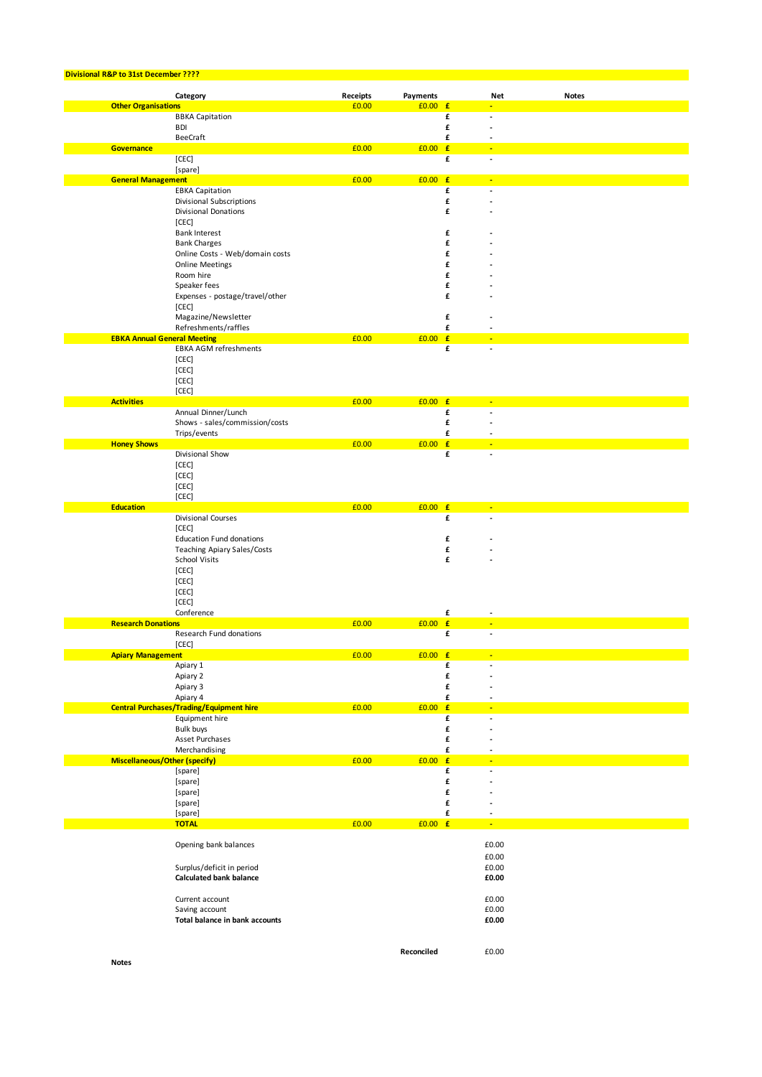| Divisional R&P to 31st December ???? |                                                                   |                   |                              |        |       |              |
|--------------------------------------|-------------------------------------------------------------------|-------------------|------------------------------|--------|-------|--------------|
|                                      |                                                                   |                   |                              |        |       |              |
| <b>Other Organisations</b>           | Category                                                          | Receipts<br>£0.00 | <b>Payments</b><br>$£0.00$ £ |        | Net   | <b>Notes</b> |
|                                      | <b>BBKA Capitation</b>                                            |                   |                              | £      |       |              |
|                                      | <b>BDI</b>                                                        |                   |                              | £      |       |              |
|                                      | <b>BeeCraft</b>                                                   |                   |                              | £      |       |              |
| <b>Governance</b>                    |                                                                   | £0.00             | $£0.00$ £                    |        |       |              |
|                                      | [CEC]                                                             |                   |                              | £      |       |              |
|                                      | [spare]                                                           |                   |                              |        |       |              |
| <b>General Management</b>            |                                                                   | £0.00             | $£0.00$ £                    |        |       |              |
|                                      | <b>EBKA Capitation</b>                                            |                   |                              | £      |       |              |
|                                      | Divisional Subscriptions<br>Divisional Donations                  |                   |                              | £<br>£ |       |              |
|                                      | [CEC]                                                             |                   |                              |        |       |              |
|                                      | <b>Bank Interest</b>                                              |                   |                              | £      |       |              |
|                                      | <b>Bank Charges</b>                                               |                   |                              | £      |       |              |
|                                      | Online Costs - Web/domain costs                                   |                   |                              | £      |       |              |
|                                      | <b>Online Meetings</b>                                            |                   |                              | £      |       |              |
|                                      | Room hire                                                         |                   |                              | £      |       |              |
|                                      | Speaker fees                                                      |                   |                              | £      |       |              |
|                                      | Expenses - postage/travel/other                                   |                   |                              | £      |       |              |
|                                      | [CEC]                                                             |                   |                              |        |       |              |
|                                      | Magazine/Newsletter                                               |                   |                              | £      |       |              |
| <b>EBKA Annual General Meeting</b>   | Refreshments/raffles                                              | £0.00             | $£0.00$ £                    | £      |       |              |
|                                      | EBKA AGM refreshments                                             |                   |                              | £      |       |              |
|                                      | [CEC]                                                             |                   |                              |        |       |              |
|                                      | [CEC]                                                             |                   |                              |        |       |              |
|                                      | [CEC]                                                             |                   |                              |        |       |              |
|                                      | [CEC]                                                             |                   |                              |        |       |              |
| <b>Activities</b>                    |                                                                   | £0.00             | $£0.00$ £                    |        |       |              |
|                                      | Annual Dinner/Lunch                                               |                   |                              | £      |       |              |
|                                      | Shows - sales/commission/costs                                    |                   |                              | £      |       |              |
|                                      | Trips/events                                                      |                   |                              | £      |       |              |
| <b>Honey Shows</b>                   |                                                                   | £0.00             | $£0.00$ £                    |        |       |              |
|                                      | Divisional Show<br>[CEC]                                          |                   |                              | £      |       |              |
|                                      | [CEC]                                                             |                   |                              |        |       |              |
|                                      | [CEC]                                                             |                   |                              |        |       |              |
|                                      | [CEC]                                                             |                   |                              |        |       |              |
| <b>Education</b>                     |                                                                   | £0.00             | $£0.00$ £                    |        |       |              |
|                                      | Divisional Courses                                                |                   |                              | £      |       |              |
|                                      | [CEC]                                                             |                   |                              |        |       |              |
|                                      | <b>Education Fund donations</b>                                   |                   |                              | £      |       |              |
|                                      | <b>Teaching Apiary Sales/Costs</b>                                |                   |                              | £      |       |              |
|                                      | <b>School Visits</b>                                              |                   |                              | £      |       |              |
|                                      | [CEC]                                                             |                   |                              |        |       |              |
|                                      | [CEC]                                                             |                   |                              |        |       |              |
|                                      | [CEC]<br>[CEC]                                                    |                   |                              |        |       |              |
|                                      | Conference                                                        |                   |                              | £      |       |              |
| <b>Research Donations</b>            |                                                                   | £0.00             | £0.00                        | E      |       |              |
|                                      | Research Fund donations                                           |                   |                              | £      |       |              |
|                                      | [CEC]                                                             |                   |                              |        |       |              |
| <b>Apiary Management</b>             |                                                                   | £0.00             | $£0.00$ £                    |        |       |              |
|                                      | Apiary 1                                                          |                   |                              | £      |       |              |
|                                      | Apiary 2                                                          |                   |                              | £      |       |              |
|                                      | Apiary 3                                                          |                   |                              | £      |       |              |
|                                      | Apiary 4                                                          |                   | $£0.00$ £                    | £      |       |              |
|                                      | <b>Central Purchases/Trading/Equipment hire</b><br>Equipment hire | £0.00             |                              | £      | ÷     |              |
|                                      | <b>Bulk buys</b>                                                  |                   |                              | £      |       |              |
|                                      | Asset Purchases                                                   |                   |                              | £      |       |              |
|                                      | Merchandising                                                     |                   |                              | £      |       |              |
| <b>Miscellaneous/Other (specify)</b> |                                                                   | £0.00             | £0.00                        | E      |       |              |
|                                      | [spare]                                                           |                   |                              | £      |       |              |
|                                      | [spare]                                                           |                   |                              | £      |       |              |
|                                      | [spare]                                                           |                   |                              | £      |       |              |
|                                      | [spare]                                                           |                   |                              | £      |       |              |
|                                      | [spare]                                                           |                   |                              | £      |       |              |
|                                      | <b>TOTAL</b>                                                      | £0.00             | $£0.00$ £                    |        | ٠     |              |
|                                      | Opening bank balances                                             |                   |                              |        | £0.00 |              |
|                                      |                                                                   |                   |                              |        | £0.00 |              |
|                                      | Surplus/deficit in period                                         |                   |                              |        | £0.00 |              |
|                                      | <b>Calculated bank balance</b>                                    |                   |                              |        | £0.00 |              |
|                                      |                                                                   |                   |                              |        |       |              |
|                                      | Current account                                                   |                   |                              |        | £0.00 |              |
|                                      | Saving account                                                    |                   |                              |        | £0.00 |              |
|                                      | Total balance in bank accounts                                    |                   |                              |        | £0.00 |              |
|                                      |                                                                   |                   |                              |        |       |              |
|                                      |                                                                   |                   |                              |        |       |              |
| <b>Notes</b>                         |                                                                   |                   | Reconciled                   |        | £0.00 |              |
|                                      |                                                                   |                   |                              |        |       |              |